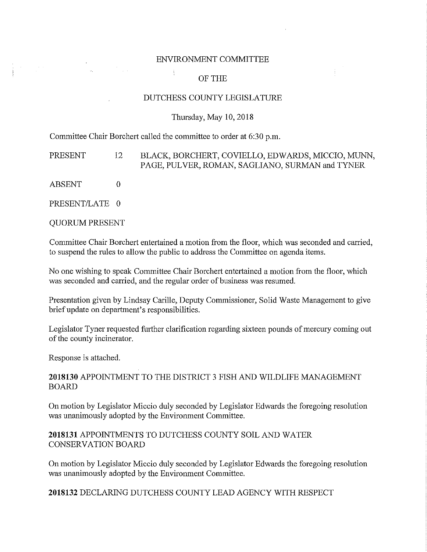#### ENVIRONMENT COMMITTEE

# OF THE

#### DUTCHESS COUNTY LEGISLATURE

#### Thursday, May 10, 2018

Committee Chair Borchert called the committee to order at 6:30 p.m.

PRESENT 12 BLACK, BORCHERT, COVIELLO, EDWARDS, MICCIO, MUNN, PAGE, PULVER, ROMAN, SAGLIANO, SURMAN and TYNER

ABSENT 0

 $\begin{array}{l} \frac{1}{2} \left( \begin{array}{cc} 1 & 0 \\ 0 & 1 \end{array} \right) & \frac{1}{2} \left( \begin{array}{cc} 1 & 0 \\ 0 & 1 \end{array} \right) & \frac{1}{2} \left( \begin{array}{cc} 1 & 0 \\ 0 & 1 \end{array} \right) & \frac{1}{2} \left( \begin{array}{cc} 1 & 0 \\ 0 & 1 \end{array} \right) & \frac{1}{2} \left( \begin{array}{cc} 1 & 0 \\ 0 & 1 \end{array} \right) & \frac{1}{2} \left( \begin{array}{cc} 1 & 0 \\ 0 & 1$ 

PRESENT/LATE 0

QUORUM PRESENT

Committee Chair Borchert entertained a motion from the floor, which was seconded and carried, to suspend the rules to allow the public to address the Committee on agenda items.

No one wishing to speak Committee Chair Borchert entertained a motion from the floor, which was seconded and carried, and the regular order of business was resumed.

Presentation given by Lindsay Carille, Deputy Commissioner, Solid Waste Management to give brief update on department's responsibilities.

Legislator Tyner requested further clarification regarding sixteen pounds of mercury coming out of the county incinerator.

Response is attached.

### **2018130** APPOINTMENT TO THE DISTRICT 3 FISH AND WILDLIFE MANAGEMENT BOARD

On motion by Legislator Miccio duly seconded by Legislator Edwards the foregoing resolution was unanimously adopted by the Environment Committee.

**2018131** APPOINTMENTS TO DUTCHESS COUNTY SOIL AND WATER CONSERVATION BOARD

On motion by Legislator Miccio duly seconded by Legislator Edwards the foregoing resolution was unanimously adopted by the Environment Committee.

**2018132** DECLARING DUTCHESS COUNTY LEAD AGENCY WITH RESPECT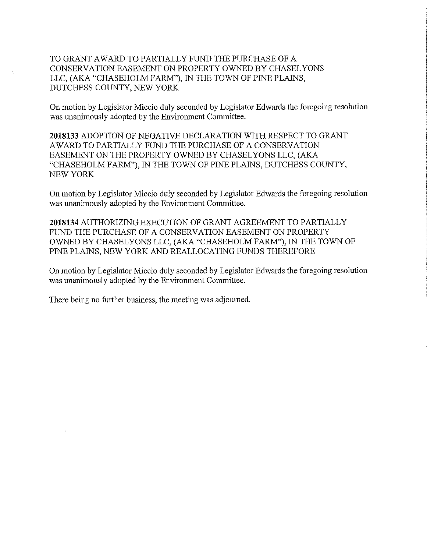TO GRANT AWARD TO PARTIALLY FUND THE PURCHASE OF A CONSERVATION EASEMENT ON PROPERTY OWNED BY CHASELYONS LLC, (AKA "CHASEHOLM FARM"), IN THE TOWN OF PINE PLAINS, DUTCHESS COUNTY, NEW YORK

On motion by Legislator Miccio duly seconded by Legislator Edwards the foregoing resolution was unanimously adopted by the Environment Committee.

**2018133** ADOPTION OF NEGATIVE DECLARATION WITH RESPECT TO GRANT AW ARD TO PARTIALLY FUND THE PURCHASE OF A CONSERVATION EASEMENT ON THE PROPERTY OWNED BY CHASEL YONS LLC, (AKA "CHASEHOLM FARM"), IN THE TOWN OF PINE PLAINS, DUTCHESS COUNTY, NEW YORK

On motion by Legislator Miccio duly seconded by Legislator Edwards the foregoing resolution was unanimously adopted by the Environment Committee.

**2018134** AUTHORIZING EXECUTION OF GRANT AGREEMENT TO PARTIALLY FUND THE PURCHASE OF A CONSERVATION EASEMENT ON PROPERTY OWNED BY CHASEL YONS LLC, (AKA "CHASEHOLM FARM"), IN THE TOWN OF PINE PLAINS, NEW YORK AND REALLOCATING FUNDS THEREFORE

On motion by Legislator Miccio duly seconded by Legislator Edwards the foregoing resolution was unanimously adopted by the Environment Committee.

There being no further business, the meeting was adjourned.